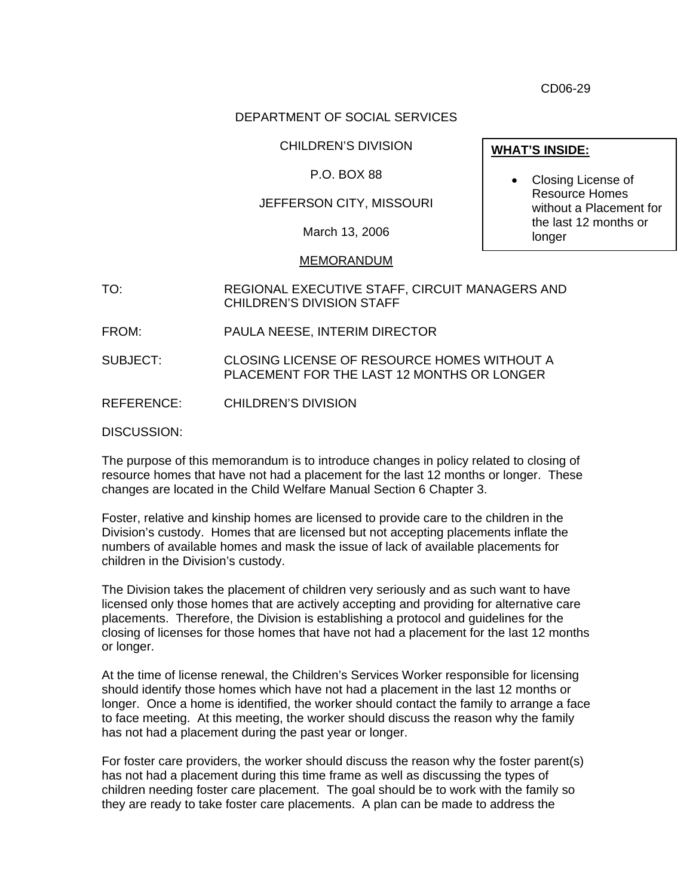CD06-29

## DEPARTMENT OF SOCIAL SERVICES

#### CHILDREN'S DIVISION

## P.O. BOX 88

## JEFFERSON CITY, MISSOURI

March 13, 2006

#### MEMORANDUM

- TO: REGIONAL EXECUTIVE STAFF, CIRCUIT MANAGERS AND CHILDREN'S DIVISION STAFF
- FROM: PAULA NEESE, INTERIM DIRECTOR

SUBJECT: CLOSING LICENSE OF RESOURCE HOMES WITHOUT A PLACEMENT FOR THE LAST 12 MONTHS OR LONGER

REFERENCE: CHILDREN'S DIVISION

DISCUSSION:

The purpose of this memorandum is to introduce changes in policy related to closing of resource homes that have not had a placement for the last 12 months or longer. These changes are located in the Child Welfare Manual Section 6 Chapter 3.

Foster, relative and kinship homes are licensed to provide care to the children in the Division's custody. Homes that are licensed but not accepting placements inflate the numbers of available homes and mask the issue of lack of available placements for children in the Division's custody.

The Division takes the placement of children very seriously and as such want to have licensed only those homes that are actively accepting and providing for alternative care placements. Therefore, the Division is establishing a protocol and guidelines for the closing of licenses for those homes that have not had a placement for the last 12 months or longer.

At the time of license renewal, the Children's Services Worker responsible for licensing should identify those homes which have not had a placement in the last 12 months or longer. Once a home is identified, the worker should contact the family to arrange a face to face meeting. At this meeting, the worker should discuss the reason why the family has not had a placement during the past year or longer.

For foster care providers, the worker should discuss the reason why the foster parent(s) has not had a placement during this time frame as well as discussing the types of children needing foster care placement. The goal should be to work with the family so they are ready to take foster care placements. A plan can be made to address the

### **WHAT'S INSIDE:**

• Closing License of Resource Homes without a Placement for the last 12 months or longer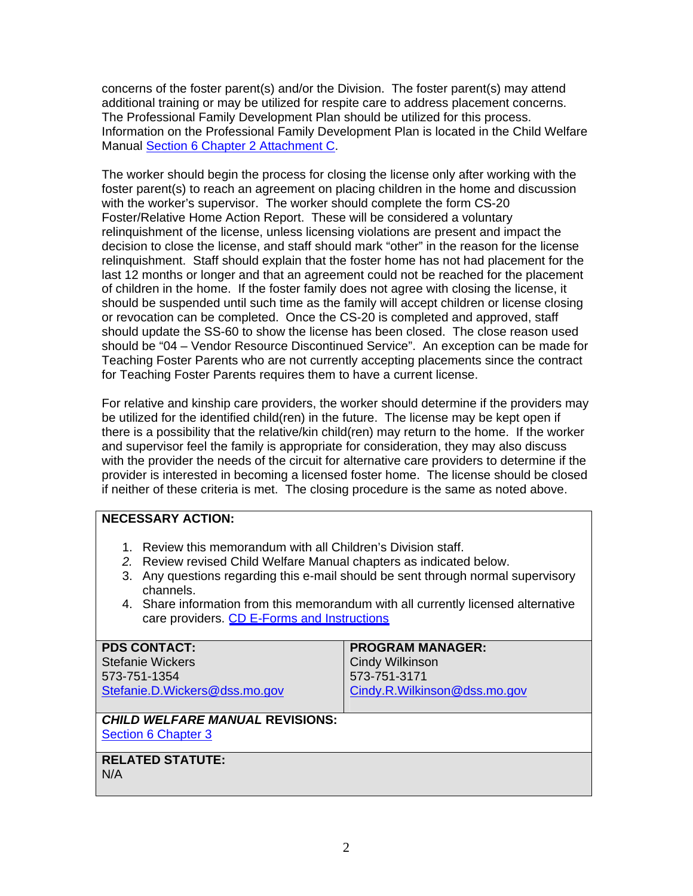concerns of the foster parent(s) and/or the Division. The foster parent(s) may attend additional training or may be utilized for respite care to address placement concerns. The Professional Family Development Plan should be utilized for this process. Information on the Professional Family Development Plan is located in the Child Welfare Manual [Section 6 Chapter 2 Attachment C](http://www.dss.mo.gov/cd/info/cwmanual/section6/ch2/sec6ch2attachc.htm).

The worker should begin the process for closing the license only after working with the foster parent(s) to reach an agreement on placing children in the home and discussion with the worker's supervisor. The worker should complete the form CS-20 Foster/Relative Home Action Report. These will be considered a voluntary relinquishment of the license, unless licensing violations are present and impact the decision to close the license, and staff should mark "other" in the reason for the license relinquishment. Staff should explain that the foster home has not had placement for the last 12 months or longer and that an agreement could not be reached for the placement of children in the home. If the foster family does not agree with closing the license, it should be suspended until such time as the family will accept children or license closing or revocation can be completed. Once the CS-20 is completed and approved, staff should update the SS-60 to show the license has been closed. The close reason used should be "04 – Vendor Resource Discontinued Service". An exception can be made for Teaching Foster Parents who are not currently accepting placements since the contract for Teaching Foster Parents requires them to have a current license.

For relative and kinship care providers, the worker should determine if the providers may be utilized for the identified child(ren) in the future. The license may be kept open if there is a possibility that the relative/kin child(ren) may return to the home. If the worker and supervisor feel the family is appropriate for consideration, they may also discuss with the provider the needs of the circuit for alternative care providers to determine if the provider is interested in becoming a licensed foster home. The license should be closed if neither of these criteria is met. The closing procedure is the same as noted above.

## **NECESSARY ACTION:**

- 1. Review this memorandum with all Children's Division staff.
- *2.* Review revised Child Welfare Manual chapters as indicated below.
- 3. Any questions regarding this e-mail should be sent through normal supervisory channels.
- 4. Share information from this memorandum with all currently licensed alternative care providers. [CD E-Forms and Instructions](http://www.dss.mo.gov/cd/info/forms/index.htm)

| <b>PDS CONTACT:</b>                    | <b>PROGRAM MANAGER:</b>      |
|----------------------------------------|------------------------------|
| <b>Stefanie Wickers</b>                | <b>Cindy Wilkinson</b>       |
| 573-751-1354                           | 573-751-3171                 |
| Stefanie.D.Wickers@dss.mo.gov          | Cindy.R.Wilkinson@dss.mo.gov |
|                                        |                              |
| <b>CHILD WELFARE MANUAL REVISIONS:</b> |                              |
| <b>Section 6 Chapter 3</b>             |                              |

# [Section 6 Chapter 3](http://www.dss.mo.gov/cd/info/cwmanual/section6/ch3/sec6ch3index.htm)

## **RELATED STATUTE:**

N/A